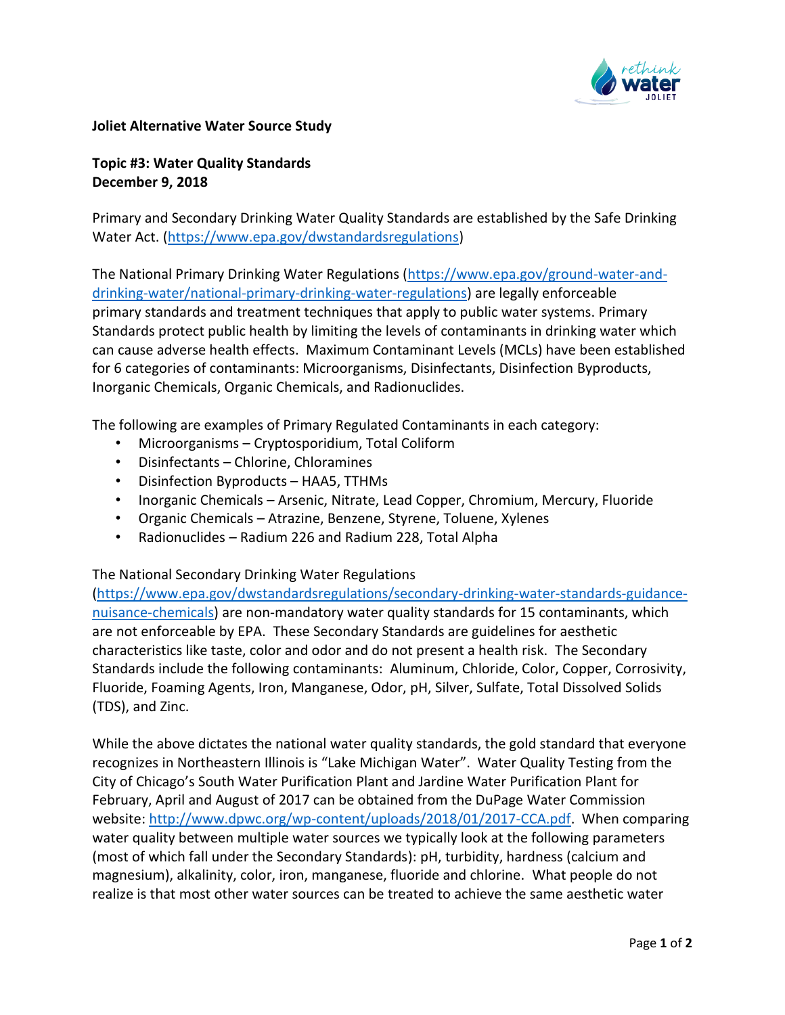

## **Joliet Alternative Water Source Study**

**Topic #3: Water Quality Standards December 9, 2018**

Primary and Secondary Drinking Water Quality Standards are established by the Safe Drinking Water Act. [\(https://www.epa.gov/dwstandardsregulations\)](https://na01.safelinks.protection.outlook.com/?url=https%3A%2F%2Fwww.epa.gov%2Fdwstandardsregulations&data=01%7C01%7Ctogrady%40cmtengr.com%7Cbe38ea7843244f1fda4808d65e064774%7Cb837cea6fc4a45b4bbd7c6d3b1216fdd%7C0&sdata=H%2FcNWDGUXTyT8ac2nVgC9StmirdOsflJSOBgGr9VOtI%3D&reserved=0)

The National Primary Drinking Water Regulations [\(https://www.epa.gov/ground-water-and](https://na01.safelinks.protection.outlook.com/?url=https%3A%2F%2Fwww.epa.gov%2Fground-water-and-drinking-water%2Fnational-primary-drinking-water-regulations&data=01%7C01%7Ctogrady%40cmtengr.com%7Cbe38ea7843244f1fda4808d65e064774%7Cb837cea6fc4a45b4bbd7c6d3b1216fdd%7C0&sdata=1AoN75q1DaUNjF7mfdJWLczbh7NK1MMKwe5vM2z71Xc%3D&reserved=0)[drinking-water/national-primary-drinking-water-regulations\)](https://na01.safelinks.protection.outlook.com/?url=https%3A%2F%2Fwww.epa.gov%2Fground-water-and-drinking-water%2Fnational-primary-drinking-water-regulations&data=01%7C01%7Ctogrady%40cmtengr.com%7Cbe38ea7843244f1fda4808d65e064774%7Cb837cea6fc4a45b4bbd7c6d3b1216fdd%7C0&sdata=1AoN75q1DaUNjF7mfdJWLczbh7NK1MMKwe5vM2z71Xc%3D&reserved=0) are legally enforceable primary standards and treatment techniques that apply to public water systems. Primary Standards protect public health by limiting the levels of contaminants in drinking water which can cause adverse health effects. Maximum Contaminant Levels (MCLs) have been established for 6 categories of contaminants: Microorganisms, Disinfectants, Disinfection Byproducts, Inorganic Chemicals, Organic Chemicals, and Radionuclides.

The following are examples of Primary Regulated Contaminants in each category:

- Microorganisms Cryptosporidium, Total Coliform
- Disinfectants Chlorine, Chloramines
- Disinfection Byproducts HAA5, TTHMs
- Inorganic Chemicals Arsenic, Nitrate, Lead Copper, Chromium, Mercury, Fluoride
- Organic Chemicals Atrazine, Benzene, Styrene, Toluene, Xylenes
- Radionuclides Radium 226 and Radium 228, Total Alpha

The National Secondary Drinking Water Regulations

[\(https://www.epa.gov/dwstandardsregulations/secondary-drinking-water-standards-guidance](https://na01.safelinks.protection.outlook.com/?url=https%3A%2F%2Fwww.epa.gov%2Fdwstandardsregulations%2Fsecondary-drinking-water-standards-guidance-nuisance-chemicals&data=01%7C01%7Ctogrady%40cmtengr.com%7Cbe38ea7843244f1fda4808d65e064774%7Cb837cea6fc4a45b4bbd7c6d3b1216fdd%7C0&sdata=uEMVbDPz2YT8YLcSmxpBlQSXroNwEE%2F1Op3ZfWFq1ro%3D&reserved=0)[nuisance-chemicals\)](https://na01.safelinks.protection.outlook.com/?url=https%3A%2F%2Fwww.epa.gov%2Fdwstandardsregulations%2Fsecondary-drinking-water-standards-guidance-nuisance-chemicals&data=01%7C01%7Ctogrady%40cmtengr.com%7Cbe38ea7843244f1fda4808d65e064774%7Cb837cea6fc4a45b4bbd7c6d3b1216fdd%7C0&sdata=uEMVbDPz2YT8YLcSmxpBlQSXroNwEE%2F1Op3ZfWFq1ro%3D&reserved=0) are non-mandatory water quality standards for 15 contaminants, which are not enforceable by EPA. These Secondary Standards are guidelines for aesthetic characteristics like taste, color and odor and do not present a health risk. The Secondary Standards include the following contaminants: Aluminum, Chloride, Color, Copper, Corrosivity, Fluoride, Foaming Agents, Iron, Manganese, Odor, pH, Silver, Sulfate, Total Dissolved Solids (TDS), and Zinc.

While the above dictates the national water quality standards, the gold standard that everyone recognizes in Northeastern Illinois is "Lake Michigan Water". Water Quality Testing from the City of Chicago's South Water Purification Plant and Jardine Water Purification Plant for February, April and August of 2017 can be obtained from the DuPage Water Commission website: [http://www.dpwc.org/wp-content/uploads/2018/01/2017-CCA.pdf.](https://na01.safelinks.protection.outlook.com/?url=http%3A%2F%2Fwww.dpwc.org%2Fwp-content%2Fuploads%2F2018%2F01%2F2017-CCA.pdf&data=01%7C01%7Ctogrady%40cmtengr.com%7Cbe38ea7843244f1fda4808d65e064774%7Cb837cea6fc4a45b4bbd7c6d3b1216fdd%7C0&sdata=Aj7%2FT%2B9sdwB7gwUVidyTch8jUMS8fpspU%2FWGdR1ZDjw%3D&reserved=0) When comparing water quality between multiple water sources we typically look at the following parameters (most of which fall under the Secondary Standards): pH, turbidity, hardness (calcium and magnesium), alkalinity, color, iron, manganese, fluoride and chlorine. What people do not realize is that most other water sources can be treated to achieve the same aesthetic water